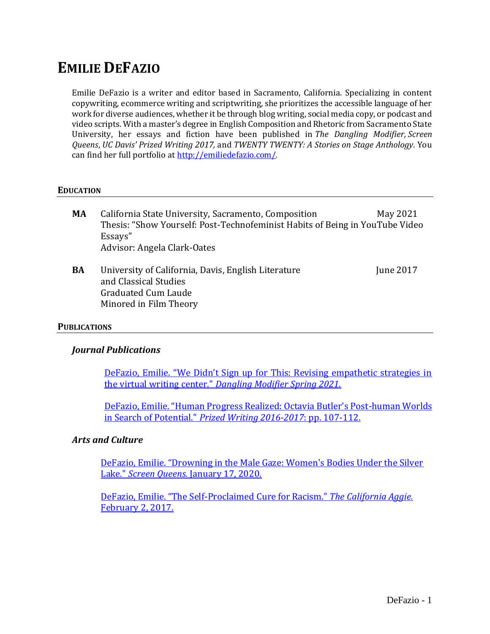# **EMILIE DEFAZIO**

Emilie DeFazio is a writer and editor based in Sacramento, California. Specializing in content copywriting, ecommerce writing and scriptwriting, she prioritizes the accessible language of her work for diverse audiences, whether it be through blog writing, social media copy, or podcast and video scripts. With a master's degree in English Composition and Rhetoric from Sacramento State University, her essays and fiction have been published in *The Dangling Modifier, Screen Queens*, *UC Davis' Prized Writing 2017,* and *TWENTY TWENTY: A Stories on Stage Anthology*. You can find her full portfolio at<http://emiliedefazio.com/>*.*

#### **EDUCATION**

- **MA** California State University, Sacramento, Composition May 2021 Thesis: "Show Yourself: Post-Technofeminist Habits of Being in YouTube Video Essays" Advisor: Angela Clark-Oates
- **BA** University of California, Davis, English Literature June 2017 and Classical Studies Graduated Cum Laude Minored in Film Theory

#### **PUBLICATIONS**

#### *Journal Publications*

DeFazio, Emilie. ["We Didn't Sign up for This: Revising empathetic strategies in](https://sites.psu.edu/thedanglingmodifier/?p=4325&preview_id=4325)  the virtual writing center." *[Dangling Modifier Spring 2021](https://sites.psu.edu/thedanglingmodifier/?p=4325&preview_id=4325)*.

DeFazio, Emilie. ["Human Progress Realized: Octavia Butler's Post](https://prizedwriting.ucdavis.edu/sites/prizedwriting.ucdavis.edu/files/sitewide/DeFazio_vol28.pdf)-human Worlds in Search of Potential." *[Prized Writing 2016-2017](https://prizedwriting.ucdavis.edu/sites/prizedwriting.ucdavis.edu/files/sitewide/DeFazio_vol28.pdf)*: pp. 107-112.

#### *Arts and Culture*

[DeFazio, Emilie. "Drowning in the Male Gaze: Women's Bodies Under the Silver](https://screen-queens.com/2020/01/27/drowning-in-the-male-gaze-womens-bodies-under-the-silver-lake/) Lake." *Screen Queens.* [January 17, 2020.](https://screen-queens.com/2020/01/27/drowning-in-the-male-gaze-womens-bodies-under-the-silver-lake/) 

DeFazio, Emilie. "The Self-[Proclaimed Cure for Racism."](https://theaggie.org/2017/02/02/the-self-proclaimed-cure-for-racism/) *The California Aggie.*  [February 2, 2017.](https://theaggie.org/2017/02/02/the-self-proclaimed-cure-for-racism/)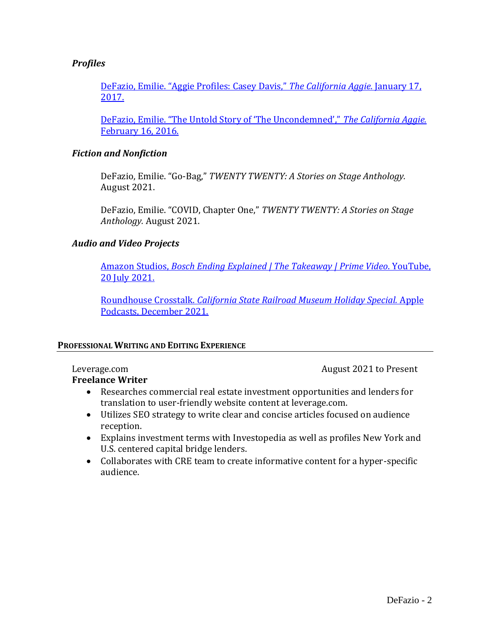### *Profiles*

[DeFazio, Emilie. "Aggie Profiles: Casey Davis,"](https://theaggie.org/2017/01/17/aggie-profiles-casey-davis/) *The California Aggie.* January 17, [2017.](https://theaggie.org/2017/01/17/aggie-profiles-casey-davis/)

[DeFazio, Emilie. "The Untold Story of 'The Uncondemned',"](https://theaggie.org/2016/02/09/httpstheaggie-org20160209the-untold-story-the-uncondemned%E2%80%8E/) *The California Aggie.*  [February 16, 2016.](https://theaggie.org/2016/02/09/httpstheaggie-org20160209the-untold-story-the-uncondemned%E2%80%8E/)

#### *Fiction and Nonfiction*

DeFazio, Emilie. "Go-Bag," *TWENTY TWENTY: A Stories on Stage Anthology.*  August 2021.

DeFazio, Emilie. "COVID, Chapter One," *TWENTY TWENTY: A Stories on Stage Anthology.* August 2021.

#### *Audio and Video Projects*

Amazon Studios, *[Bosch Ending Explained | The Takeaway | Prime Video](http://www.youtube.com/watch?v=wHaPLgWB8Nk&ab_channel=AmazonPrimeVideo)*. YouTube, [20 July 2021.](http://www.youtube.com/watch?v=wHaPLgWB8Nk&ab_channel=AmazonPrimeVideo)

Roundhouse Crosstalk. *[California State Railroad Museum Holiday Special.](https://podcasts.apple.com/us/podcast/roundhouse-crosstalk/id1509073381?i=1000545327032)* Apple [Podcasts, December 2021.](https://podcasts.apple.com/us/podcast/roundhouse-crosstalk/id1509073381?i=1000545327032)

#### **PROFESSIONAL WRITING AND EDITING EXPERIENCE**

# **Freelance Writer**

Leverage.com **August 2021** to Present

- Researches commercial real estate investment opportunities and lenders for translation to user-friendly website content at leverage.com.
- Utilizes SEO strategy to write clear and concise articles focused on audience reception.
- Explains investment terms with Investopedia as well as profiles New York and U.S. centered capital bridge lenders.
- Collaborates with CRE team to create informative content for a hyper-specific audience.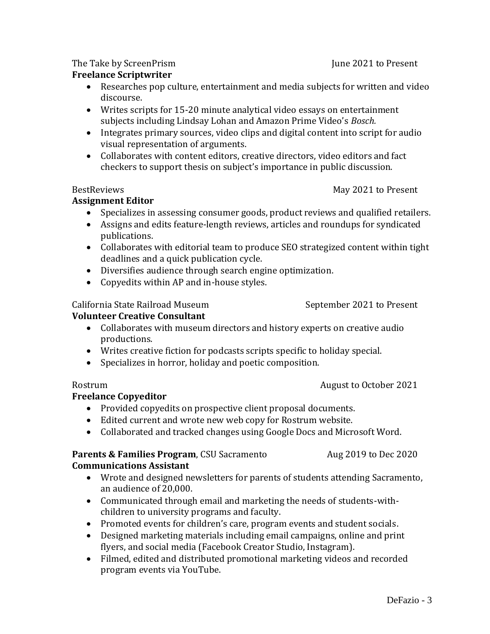## The Take by ScreenPrism The Take by Screent in the Take  $\sim$  June 2021 to Present

# **Freelance Scriptwriter**

- Researches pop culture, entertainment and media subjects for written and video discourse.
- Writes scripts for 15-20 minute analytical video essays on entertainment subjects including Lindsay Lohan and Amazon Prime Video's *Bosch.*
- Integrates primary sources, video clips and digital content into script for audio visual representation of arguments.
- Collaborates with content editors, creative directors, video editors and fact checkers to support thesis on subject's importance in public discussion.

#### BestReviews May 2021 to Present

# **Assignment Editor**

- Specializes in assessing consumer goods, product reviews and qualified retailers.
- Assigns and edits feature-length reviews, articles and roundups for syndicated publications.
- Collaborates with editorial team to produce SEO strategized content within tight deadlines and a quick publication cycle.
- Diversifies audience through search engine optimization.
- Copyedits within AP and in-house styles.

### California State Railroad Museum September 2021 to Present

# **Volunteer Creative Consultant**

- Collaborates with museum directors and history experts on creative audio productions.
- Writes creative fiction for podcasts scripts specific to holiday special.
- Specializes in horror, holiday and poetic composition.

#### Rostrum **August to October 2021**

# **Freelance Copyeditor**

- Provided copyedits on prospective client proposal documents.
- Edited current and wrote new web copy for Rostrum website.
- Collaborated and tracked changes using Google Docs and Microsoft Word.

#### **Parents & Families Program**, CSU Sacramento Aug 2019 to Dec 2020 **Communications Assistant**

- Wrote and designed newsletters for parents of students attending Sacramento, an audience of 20,000.
- Communicated through email and marketing the needs of students-withchildren to university programs and faculty.
- Promoted events for children's care, program events and student socials.
- Designed marketing materials including email campaigns, online and print flyers, and social media (Facebook Creator Studio, Instagram).
- Filmed, edited and distributed promotional marketing videos and recorded program events via YouTube.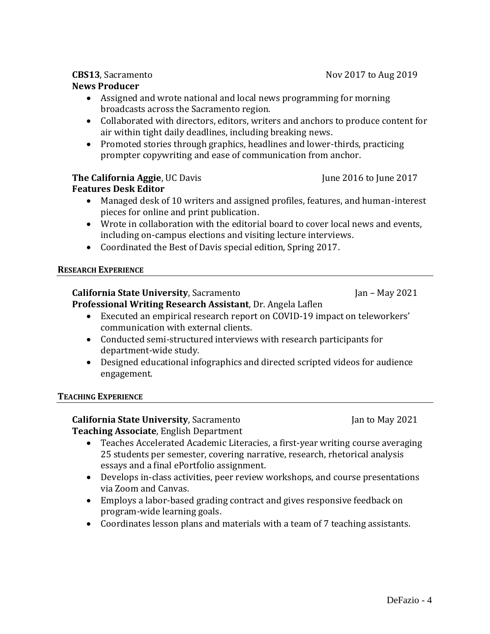# **News Producer**

- Assigned and wrote national and local news programming for morning broadcasts across the Sacramento region.
- Collaborated with directors, editors, writers and anchors to produce content for air within tight daily deadlines, including breaking news.
- Promoted stories through graphics, headlines and lower-thirds, practicing prompter copywriting and ease of communication from anchor.

# **The California Aggie**, UC Davis June 2016 to June 2017

# **Features Desk Editor**

- Managed desk of 10 writers and assigned profiles, features, and human-interest pieces for online and print publication.
- Wrote in collaboration with the editorial board to cover local news and events, including on-campus elections and visiting lecture interviews.
- Coordinated the Best of Davis special edition, Spring 2017.

### **RESEARCH EXPERIENCE**

#### **California State University**, Sacramento Jan – May 2021 **Professional Writing Research Assistant**, Dr. Angela Laflen

- Executed an empirical research report on COVID-19 impact on teleworkers' communication with external clients.
- Conducted semi-structured interviews with research participants for department-wide study.
- Designed educational infographics and directed scripted videos for audience engagement.

#### **TEACHING EXPERIENCE**

# **California State University**, Sacramento Jan to May 2021

**Teaching Associate**, English Department

- Teaches Accelerated Academic Literacies, a first-year writing course averaging 25 students per semester, covering narrative, research, rhetorical analysis essays and a final ePortfolio assignment.
- Develops in-class activities, peer review workshops, and course presentations via Zoom and Canvas.
- Employs a labor-based grading contract and gives responsive feedback on program-wide learning goals.
- Coordinates lesson plans and materials with a team of 7 teaching assistants.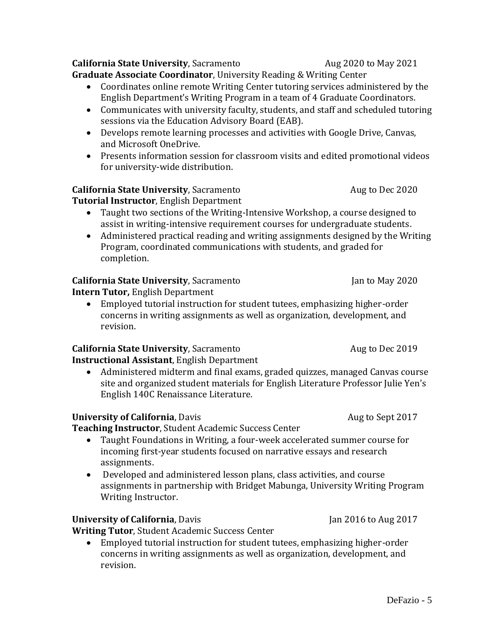**California State University**, Sacramento **Aug 2020** to May 2021 **Graduate Associate Coordinator**, University Reading & Writing Center

- Coordinates online remote Writing Center tutoring services administered by the English Department's Writing Program in a team of 4 Graduate Coordinators.
- Communicates with university faculty, students, and staff and scheduled tutoring sessions via the Education Advisory Board (EAB).
- Develops remote learning processes and activities with Google Drive, Canvas, and Microsoft OneDrive.
- Presents information session for classroom visits and edited promotional videos for university-wide distribution.

# **California State University**, Sacramento **Aug 19 Aug to Dec 2020**

**Tutorial Instructor**, English Department

- Taught two sections of the Writing-Intensive Workshop, a course designed to assist in writing-intensive requirement courses for undergraduate students.
- Administered practical reading and writing assignments designed by the Writing Program, coordinated communications with students, and graded for completion.

# **California State University**, Sacramento Jan to May 2020

**Intern Tutor,** English Department

• Employed tutorial instruction for student tutees, emphasizing higher-order concerns in writing assignments as well as organization, development, and revision.

# **California State University**, Sacramento **Aug 19 Aug to Dec 2019**

**Instructional Assistant**, English Department

• Administered midterm and final exams, graded quizzes, managed Canvas course site and organized student materials for English Literature Professor Julie Yen's English 140C Renaissance Literature.

# **University of California**, Davis **Aug to Sept 2017**

**Teaching Instructor**, Student Academic Success Center

- Taught Foundations in Writing, a four-week accelerated summer course for incoming first-year students focused on narrative essays and research assignments.
- Developed and administered lesson plans, class activities, and course assignments in partnership with Bridget Mabunga, University Writing Program Writing Instructor.

# **University of California**, Davis Jan 2016 to Aug 2017

**Writing Tutor**, Student Academic Success Center

• Employed tutorial instruction for student tutees, emphasizing higher-order concerns in writing assignments as well as organization, development, and revision.